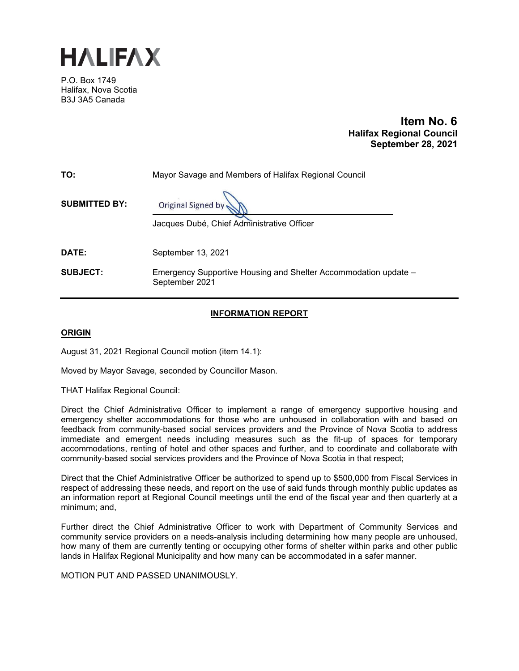

P.O. Box 1749 Halifax, Nova Scotia B3J 3A5 Canada

# **Item No. 6 Halifax Regional Council September 28, 2021**

| TO:                  | Mayor Savage and Members of Halifax Regional Council                              |
|----------------------|-----------------------------------------------------------------------------------|
| <b>SUBMITTED BY:</b> | Original Signed by<br>Jacques Dubé, Chief Administrative Officer                  |
| DATE:                | September 13, 2021                                                                |
| <b>SUBJECT:</b>      | Emergency Supportive Housing and Shelter Accommodation update -<br>September 2021 |

# **INFORMATION REPORT**

# **ORIGIN**

August 31, 2021 Regional Council motion (item 14.1):

Moved by Mayor Savage, seconded by Councillor Mason.

THAT Halifax Regional Council:

Direct the Chief Administrative Officer to implement a range of emergency supportive housing and emergency shelter accommodations for those who are unhoused in collaboration with and based on feedback from community-based social services providers and the Province of Nova Scotia to address immediate and emergent needs including measures such as the fit-up of spaces for temporary accommodations, renting of hotel and other spaces and further, and to coordinate and collaborate with community-based social services providers and the Province of Nova Scotia in that respect;

Direct that the Chief Administrative Officer be authorized to spend up to \$500,000 from Fiscal Services in respect of addressing these needs, and report on the use of said funds through monthly public updates as an information report at Regional Council meetings until the end of the fiscal year and then quarterly at a minimum; and,

Further direct the Chief Administrative Officer to work with Department of Community Services and community service providers on a needs-analysis including determining how many people are unhoused, how many of them are currently tenting or occupying other forms of shelter within parks and other public lands in Halifax Regional Municipality and how many can be accommodated in a safer manner.

MOTION PUT AND PASSED UNANIMOUSLY.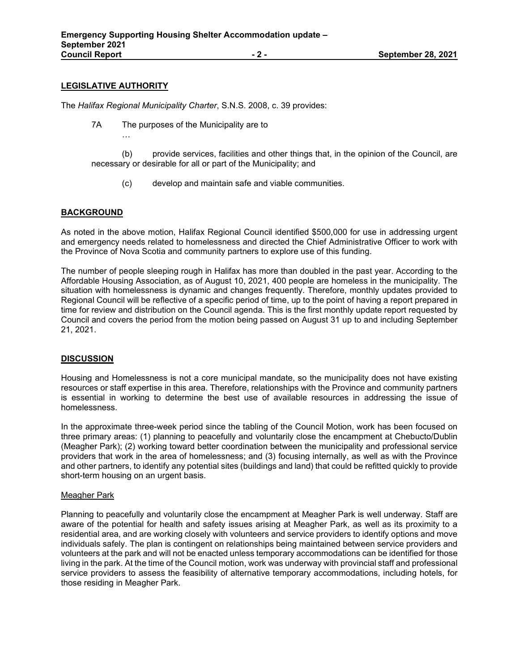# **LEGISLATIVE AUTHORITY**

…

The *Halifax Regional Municipality Charter*, S.N.S. 2008, c. 39 provides:

7A The purposes of the Municipality are to

(b) provide services, facilities and other things that, in the opinion of the Council, are necessary or desirable for all or part of the Municipality; and

(c) develop and maintain safe and viable communities.

# **BACKGROUND**

As noted in the above motion, Halifax Regional Council identified \$500,000 for use in addressing urgent and emergency needs related to homelessness and directed the Chief Administrative Officer to work with the Province of Nova Scotia and community partners to explore use of this funding.

The number of people sleeping rough in Halifax has more than doubled in the past year. According to the Affordable Housing Association, as of August 10, 2021, 400 people are homeless in the municipality. The situation with homelessness is dynamic and changes frequently. Therefore, monthly updates provided to Regional Council will be reflective of a specific period of time, up to the point of having a report prepared in time for review and distribution on the Council agenda. This is the first monthly update report requested by Council and covers the period from the motion being passed on August 31 up to and including September 21, 2021.

# **DISCUSSION**

Housing and Homelessness is not a core municipal mandate, so the municipality does not have existing resources or staff expertise in this area. Therefore, relationships with the Province and community partners is essential in working to determine the best use of available resources in addressing the issue of homelessness.

In the approximate three-week period since the tabling of the Council Motion, work has been focused on three primary areas: (1) planning to peacefully and voluntarily close the encampment at Chebucto/Dublin (Meagher Park); (2) working toward better coordination between the municipality and professional service providers that work in the area of homelessness; and (3) focusing internally, as well as with the Province and other partners, to identify any potential sites (buildings and land) that could be refitted quickly to provide short-term housing on an urgent basis.

# Meagher Park

Planning to peacefully and voluntarily close the encampment at Meagher Park is well underway. Staff are aware of the potential for health and safety issues arising at Meagher Park, as well as its proximity to a residential area, and are working closely with volunteers and service providers to identify options and move individuals safely. The plan is contingent on relationships being maintained between service providers and volunteers at the park and will not be enacted unless temporary accommodations can be identified for those living in the park. At the time of the Council motion, work was underway with provincial staff and professional service providers to assess the feasibility of alternative temporary accommodations, including hotels, for those residing in Meagher Park.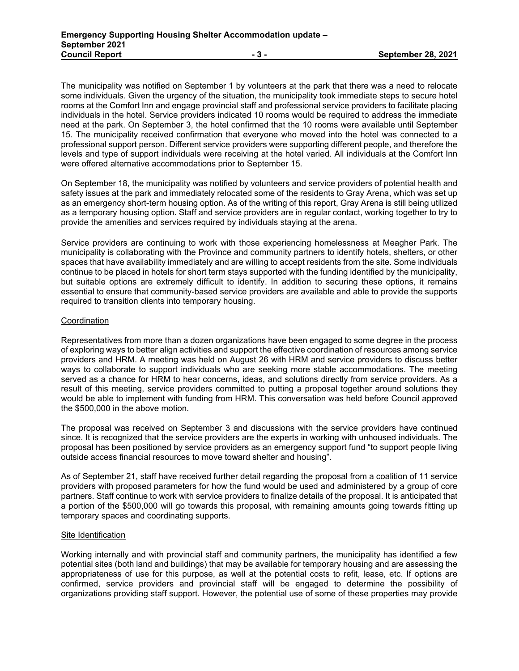The municipality was notified on September 1 by volunteers at the park that there was a need to relocate some individuals. Given the urgency of the situation, the municipality took immediate steps to secure hotel rooms at the Comfort Inn and engage provincial staff and professional service providers to facilitate placing individuals in the hotel. Service providers indicated 10 rooms would be required to address the immediate need at the park. On September 3, the hotel confirmed that the 10 rooms were available until September 15. The municipality received confirmation that everyone who moved into the hotel was connected to a professional support person. Different service providers were supporting different people, and therefore the levels and type of support individuals were receiving at the hotel varied. All individuals at the Comfort Inn were offered alternative accommodations prior to September 15.

On September 18, the municipality was notified by volunteers and service providers of potential health and safety issues at the park and immediately relocated some of the residents to Gray Arena, which was set up as an emergency short-term housing option. As of the writing of this report, Gray Arena is still being utilized as a temporary housing option. Staff and service providers are in regular contact, working together to try to provide the amenities and services required by individuals staying at the arena.

Service providers are continuing to work with those experiencing homelessness at Meagher Park. The municipality is collaborating with the Province and community partners to identify hotels, shelters, or other spaces that have availability immediately and are willing to accept residents from the site. Some individuals continue to be placed in hotels for short term stays supported with the funding identified by the municipality, but suitable options are extremely difficult to identify. In addition to securing these options, it remains essential to ensure that community-based service providers are available and able to provide the supports required to transition clients into temporary housing.

#### **Coordination**

Representatives from more than a dozen organizations have been engaged to some degree in the process of exploring ways to better align activities and support the effective coordination of resources among service providers and HRM. A meeting was held on August 26 with HRM and service providers to discuss better ways to collaborate to support individuals who are seeking more stable accommodations. The meeting served as a chance for HRM to hear concerns, ideas, and solutions directly from service providers. As a result of this meeting, service providers committed to putting a proposal together around solutions they would be able to implement with funding from HRM. This conversation was held before Council approved the \$500,000 in the above motion.

The proposal was received on September 3 and discussions with the service providers have continued since. It is recognized that the service providers are the experts in working with unhoused individuals. The proposal has been positioned by service providers as an emergency support fund "to support people living outside access financial resources to move toward shelter and housing".

As of September 21, staff have received further detail regarding the proposal from a coalition of 11 service providers with proposed parameters for how the fund would be used and administered by a group of core partners. Staff continue to work with service providers to finalize details of the proposal. It is anticipated that a portion of the \$500,000 will go towards this proposal, with remaining amounts going towards fitting up temporary spaces and coordinating supports.

# Site Identification

Working internally and with provincial staff and community partners, the municipality has identified a few potential sites (both land and buildings) that may be available for temporary housing and are assessing the appropriateness of use for this purpose, as well at the potential costs to refit, lease, etc. If options are confirmed, service providers and provincial staff will be engaged to determine the possibility of organizations providing staff support. However, the potential use of some of these properties may provide